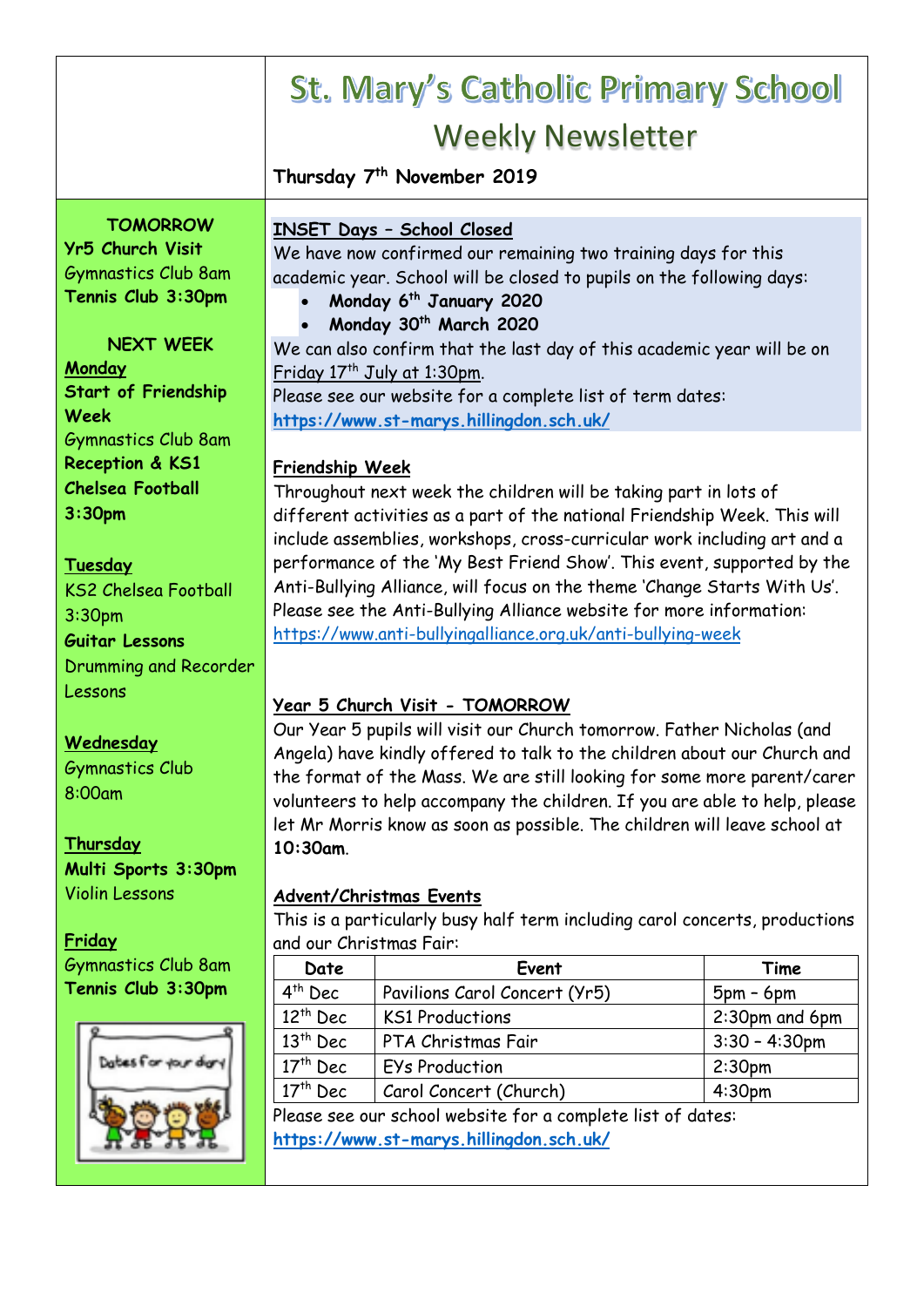|                                  | <b>St. Mary's Catholic Primary School</b>                                                            |                                                                        |  |  |
|----------------------------------|------------------------------------------------------------------------------------------------------|------------------------------------------------------------------------|--|--|
|                                  | <b>Weekly Newsletter</b>                                                                             |                                                                        |  |  |
|                                  | Thursday 7 <sup>th</sup> November 2019                                                               |                                                                        |  |  |
|                                  |                                                                                                      |                                                                        |  |  |
| <b>TOMORROW</b>                  | <b>INSET Days - School Closed</b>                                                                    |                                                                        |  |  |
| Yr5 Church Visit                 | We have now confirmed our remaining two training days for this                                       |                                                                        |  |  |
| <b>Gymnastics Club 8am</b>       | academic year. School will be closed to pupils on the following days:                                |                                                                        |  |  |
| Tennis Club 3:30pm               | Monday 6 <sup>th</sup> January 2020                                                                  |                                                                        |  |  |
| <b>NEXT WEEK</b>                 | Monday 30 <sup>th</sup> March 2020                                                                   |                                                                        |  |  |
| Monday                           | We can also confirm that the last day of this academic year will be on                               |                                                                        |  |  |
| <b>Start of Friendship</b>       | Friday 17 <sup>th</sup> July at 1:30pm.<br>Please see our website for a complete list of term dates: |                                                                        |  |  |
| Week                             | https://www.st-marys.hillingdon.sch.uk/                                                              |                                                                        |  |  |
| <b>Gymnastics Club 8am</b>       |                                                                                                      |                                                                        |  |  |
| Reception & KS1                  | Friendship Week                                                                                      |                                                                        |  |  |
| <b>Chelsea Football</b>          | Throughout next week the children will be taking part in lots of                                     |                                                                        |  |  |
| 3:30 <sub>pm</sub>               | different activities as a part of the national Friendship Week. This will                            |                                                                        |  |  |
|                                  | include assemblies, workshops, cross-curricular work including art and a                             |                                                                        |  |  |
| Tuesday                          | performance of the 'My Best Friend Show'. This event, supported by the                               |                                                                        |  |  |
| <b>KS2 Chelsea Football</b>      | Anti-Bullying Alliance, will focus on the theme 'Change Starts With Us'.                             |                                                                        |  |  |
| 3:30pm                           | Please see the Anti-Bullying Alliance website for more information:                                  |                                                                        |  |  |
| <b>Guitar Lessons</b>            | https://www.anti-bullyingalliance.org.uk/anti-bullying-week                                          |                                                                        |  |  |
| Drumming and Recorder            |                                                                                                      |                                                                        |  |  |
| Lessons                          | Year 5 Church Visit - TOMORROW                                                                       |                                                                        |  |  |
|                                  |                                                                                                      | Our Year 5 pupils will visit our Church tomorrow. Father Nicholas (and |  |  |
| Wednesday                        | Angela) have kindly offered to talk to the children about our Church and                             |                                                                        |  |  |
| <b>Gymnastics Club</b><br>8:00am | the format of the Mass. We are still looking for some more parent/carer                              |                                                                        |  |  |
|                                  | volunteers to help accompany the children. If you are able to help, please                           |                                                                        |  |  |
| Thursday                         | let Mr Morris know as soon as possible. The children will leave school at                            |                                                                        |  |  |
| Multi Sports 3:30pm              | 10:30am.                                                                                             |                                                                        |  |  |
| <b>Violin Lessons</b>            | <b>Advent/Christmas Events</b>                                                                       |                                                                        |  |  |
|                                  | This is a particularly busy half term including carol concerts, productions                          |                                                                        |  |  |
| Friday                           | and our Christmas Fair:                                                                              |                                                                        |  |  |
| <b>Gymnastics Club 8am</b>       | Event<br>Date                                                                                        | Time                                                                   |  |  |
| Tennis Club 3:30pm               | 4 <sup>th</sup> Dec<br>Pavilions Carol Concert (Yr5)                                                 | $5pm - 6pm$                                                            |  |  |
|                                  | $12th$ Dec<br><b>KS1 Productions</b>                                                                 | 2:30pm and 6pm                                                         |  |  |
|                                  | $13th$ Dec<br>PTA Christmas Fair                                                                     | $3:30 - 4:30$ pm                                                       |  |  |
|                                  | $17th$ Dec<br>EYs Production                                                                         | 2:30 <sub>pm</sub>                                                     |  |  |
|                                  | $17th$ Dec<br>Carol Concert (Church)                                                                 | 4:30 <sub>pm</sub>                                                     |  |  |
|                                  | Please see our school website for a complete list of dates:                                          |                                                                        |  |  |
|                                  | https://www.st-marys.hillingdon.sch.uk/                                                              |                                                                        |  |  |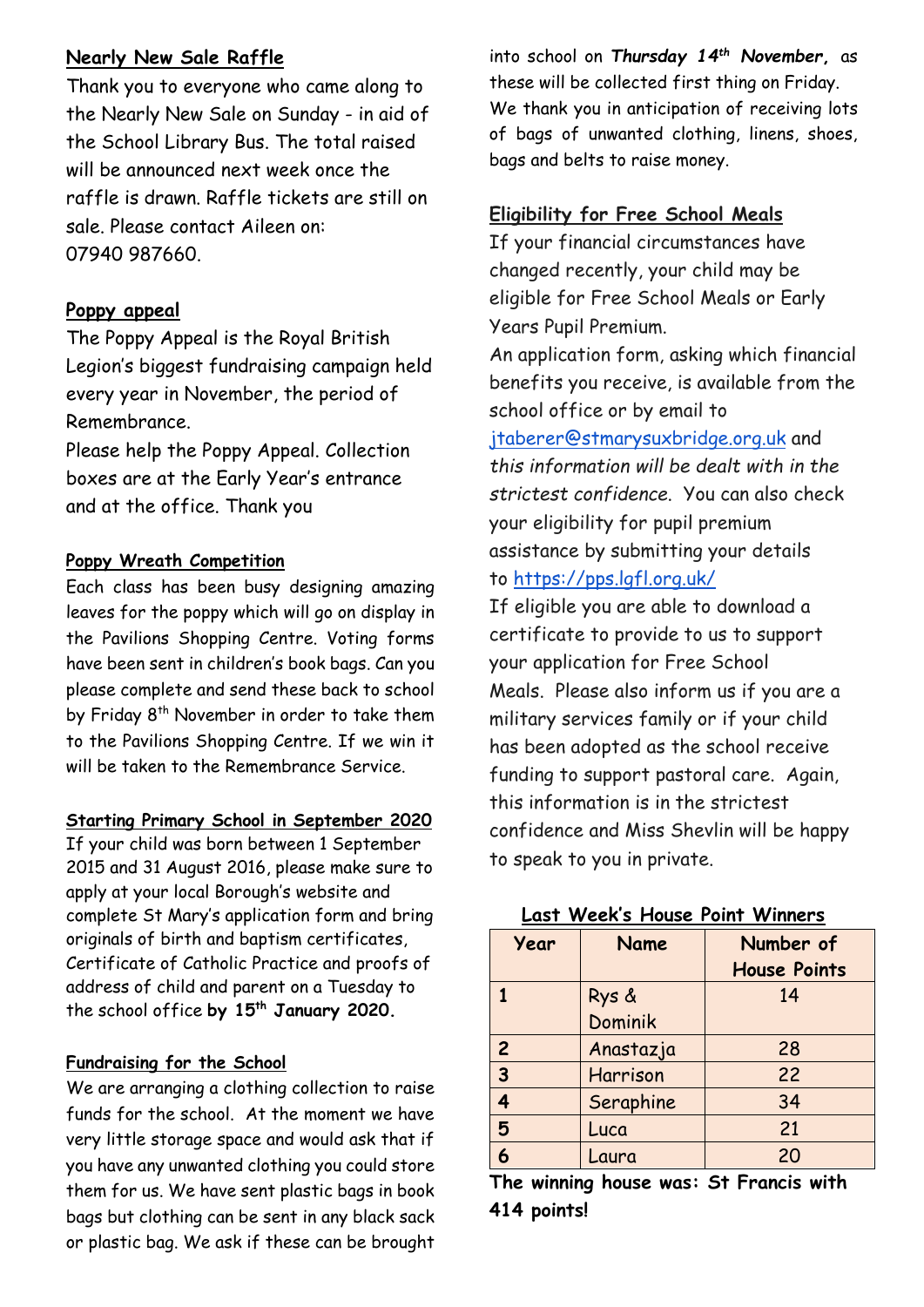# **Nearly New Sale Raffle**

Thank you to everyone who came along to the Nearly New Sale on Sunday - in aid of the School Library Bus. The total raised will be announced next week once the raffle is drawn. Raffle tickets are still on sale. Please contact Aileen on: 07940 987660.

## **Poppy appeal**

The Poppy Appeal is the Royal British Legion's biggest fundraising campaign held every year in November, the period of Remembrance.

Please help the Poppy Appeal. Collection boxes are at the Early Year's entrance and at the office. Thank you

#### **Poppy Wreath Competition**

Each class has been busy designing amazing leaves for the poppy which will go on display in the Pavilions Shopping Centre. Voting forms have been sent in children's book bags. Can you please complete and send these back to school by Friday 8<sup>th</sup> November in order to take them to the Pavilions Shopping Centre. If we win it will be taken to the Remembrance Service.

#### **Starting Primary School in September 2020**

If your child was born between 1 September 2015 and 31 August 2016, please make sure to apply at your local Borough's website and complete St Mary's application form and bring originals of birth and baptism certificates, Certificate of Catholic Practice and proofs of address of child and parent on a Tuesday to the school office **by 15th January 2020.**

## **Fundraising for the School**

We are arranging a clothing collection to raise funds for the school. At the moment we have very little storage space and would ask that if you have any unwanted clothing you could store them for us. We have sent plastic bags in book bags but clothing can be sent in any black sack or plastic bag. We ask if these can be brought

into school on *Thursday 14th November***,** as these will be collected first thing on Friday. We thank you in anticipation of receiving lots of bags of unwanted clothing, linens, shoes, bags and belts to raise money.

# **Eligibility for Free School Meals**

If your financial circumstances have changed recently, your child may be eligible for Free School Meals or Early Years Pupil Premium. An application form, asking which financial benefits you receive, is available from the school office or by email to [jtaberer@stmarysuxbridge.org.uk](mailto:jtaberer@stmarysuxbridge.org.uk) and *this information will be dealt with in the strictest confidence*. You can also check your eligibility for pupil premium assistance by submitting your details to <https://pps.lgfl.org.uk/>

If eligible you are able to download a certificate to provide to us to support your application for Free School Meals. Please also inform us if you are a military services family or if your child has been adopted as the school receive funding to support pastoral care. Again, this information is in the strictest confidence and Miss Shevlin will be happy to speak to you in private.

| Year           | Name      | Number of           |
|----------------|-----------|---------------------|
|                |           | <b>House Points</b> |
|                | Rys &     | 14                  |
|                | Dominik   |                     |
| $\overline{2}$ | Anastazja | 28                  |
| $\overline{3}$ | Harrison  | 22                  |
| 4              | Seraphine | 34                  |
| 5              | Luca      | 21                  |
|                | Laura     | 20                  |

# **Last Week's House Point Winners**

**The winning house was: St Francis with 414 points!**